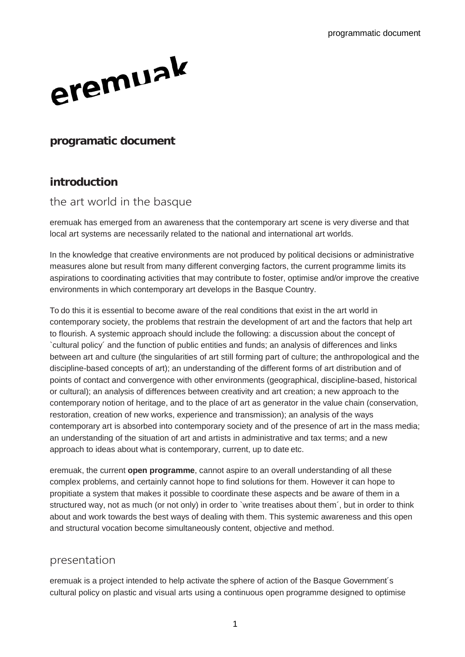

#### **programatic document**

### **introduction**

#### the art world in the basque

eremuak has emerged from an awareness that the contemporary art scene is very diverse and that local art systems are necessarily related to the national and international art worlds.

In the knowledge that creative environments are not produced by political decisions or administrative measures alone but result from many different converging factors, the current programme limits its aspirations to coordinating activities that may contribute to foster, optimise and/or improve the creative environments in which contemporary art develops in the Basque Country.

To do this it is essential to become aware of the real conditions that exist in the art world in contemporary society, the problems that restrain the development of art and the factors that help art to flourish. A systemic approach should include the following: a discussion about the concept of `cultural policy´ and the function of public entities and funds; an analysis of differences and links between art and culture (the singularities of art still forming part of culture; the anthropological and the discipline-based concepts of art); an understanding of the different forms of art distribution and of points of contact and convergence with other environments (geographical, discipline-based, historical or cultural); an analysis of differences between creativity and art creation; a new approach to the contemporary notion of heritage, and to the place of art as generator in the value chain (conservation, restoration, creation of new works, experience and transmission); an analysis of the ways contemporary art is absorbed into contemporary society and of the presence of art in the mass media; an understanding of the situation of art and artists in administrative and tax terms; and a new approach to ideas about what is contemporary, current, up to date etc.

eremuak, the current **open programme**, cannot aspire to an overall understanding of all these complex problems, and certainly cannot hope to find solutions for them. However it can hope to propitiate a system that makes it possible to coordinate these aspects and be aware of them in a structured way, not as much (or not only) in order to `write treatises about them´, but in order to think about and work towards the best ways of dealing with them. This systemic awareness and this open and structural vocation become simultaneously content, objective and method.

#### presentation

eremuak is a project intended to help activate the sphere of action of the Basque Government´s cultural policy on plastic and visual arts using a continuous open programme designed to optimise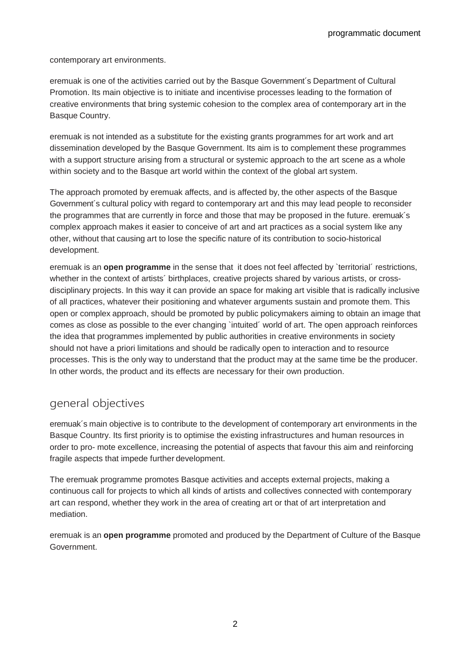contemporary art environments.

eremuak is one of the activities carried out by the Basque Government´s Department of Cultural Promotion. Its main objective is to initiate and incentivise processes leading to the formation of creative environments that bring systemic cohesion to the complex area of contemporary art in the Basque Country.

eremuak is not intended as a substitute for the existing grants programmes for art work and art dissemination developed by the Basque Government. Its aim is to complement these programmes with a support structure arising from a structural or systemic approach to the art scene as a whole within society and to the Basque art world within the context of the global art system.

The approach promoted by eremuak affects, and is affected by, the other aspects of the Basque Government´s cultural policy with regard to contemporary art and this may lead people to reconsider the programmes that are currently in force and those that may be proposed in the future. eremuak´s complex approach makes it easier to conceive of art and art practices as a social system like any other, without that causing art to lose the specific nature of its contribution to socio-historical development.

eremuak is an **open programme** in the sense that it does not feel affected by `territorial´ restrictions, whether in the context of artists´ birthplaces, creative projects shared by various artists, or crossdisciplinary projects. In this way it can provide an space for making art visible that is radically inclusive of all practices, whatever their positioning and whatever arguments sustain and promote them. This open or complex approach, should be promoted by public policymakers aiming to obtain an image that comes as close as possible to the ever changing `intuited´ world of art. The open approach reinforces the idea that programmes implemented by public authorities in creative environments in society should not have a priori limitations and should be radically open to interaction and to resource processes. This is the only way to understand that the product may at the same time be the producer. In other words, the product and its effects are necessary for their own production.

## general objectives

eremuak´s main objective is to contribute to the development of contemporary art environments in the Basque Country. Its first priority is to optimise the existing infrastructures and human resources in order to pro- mote excellence, increasing the potential of aspects that favour this aim and reinforcing fragile aspects that impede further development.

The eremuak programme promotes Basque activities and accepts external projects, making a continuous call for projects to which all kinds of artists and collectives connected with contemporary art can respond, whether they work in the area of creating art or that of art interpretation and mediation.

eremuak is an **open programme** promoted and produced by the Department of Culture of the Basque Government.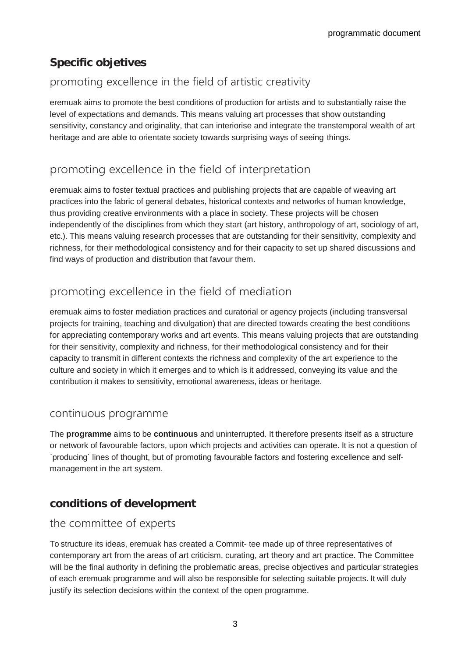# **Specific objetives**

# promoting excellence in the field of artistic creativity

eremuak aims to promote the best conditions of production for artists and to substantially raise the level of expectations and demands. This means valuing art processes that show outstanding sensitivity, constancy and originality, that can interiorise and integrate the transtemporal wealth of art heritage and are able to orientate society towards surprising ways of seeing things.

# promoting excellence in the field of interpretation

eremuak aims to foster textual practices and publishing projects that are capable of weaving art practices into the fabric of general debates, historical contexts and networks of human knowledge, thus providing creative environments with a place in society. These projects will be chosen independently of the disciplines from which they start (art history, anthropology of art, sociology of art, etc.). This means valuing research processes that are outstanding for their sensitivity, complexity and richness, for their methodological consistency and for their capacity to set up shared discussions and find ways of production and distribution that favour them.

# promoting excellence in the field of mediation

eremuak aims to foster mediation practices and curatorial or agency projects (including transversal projects for training, teaching and divulgation) that are directed towards creating the best conditions for appreciating contemporary works and art events. This means valuing projects that are outstanding for their sensitivity, complexity and richness, for their methodological consistency and for their capacity to transmit in different contexts the richness and complexity of the art experience to the culture and society in which it emerges and to which is it addressed, conveying its value and the contribution it makes to sensitivity, emotional awareness, ideas or heritage.

### continuous programme

The **programme** aims to be **continuous** and uninterrupted. It therefore presents itself as a structure or network of favourable factors, upon which projects and activities can operate. It is not a question of `producing´ lines of thought, but of promoting favourable factors and fostering excellence and selfmanagement in the art system.

# **conditions of development**

## the committee of experts

To structure its ideas, eremuak has created a Commit- tee made up of three representatives of contemporary art from the areas of art criticism, curating, art theory and art practice. The Committee will be the final authority in defining the problematic areas, precise objectives and particular strategies of each eremuak programme and will also be responsible for selecting suitable projects. It will duly justify its selection decisions within the context of the open programme.